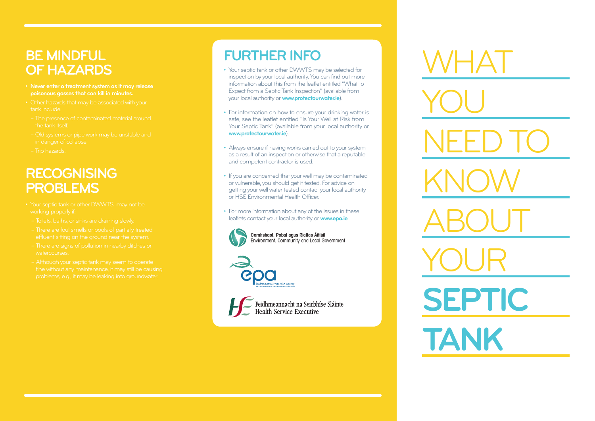#### **BE MINDFUL OF HAZARDS**

- **poisonous gasses that can kill in minutes.**
- 
- 
- 
- 

### **RECOGNISING PROBLEMS**

- 
- 
- 
- 
- 

# **FURTHER INFO**

- Your septic tank or other DWWTS may be selected for inspection by your local authority. You can find out more information about this from the leaflet entitled "What to Expect from a Septic Tank Inspection" (available from your local authority or **www.protectourwater.ie**).
- For information on how to ensure your drinking water is safe, see the leaflet entitled "Is Your Well at Risk from Your Septic Tank" (available from your local authority or **www.protectourwater.ie**).
- Always ensure if having works carried out to your system as a result of an inspection or otherwise that a reputable and competent contractor is used.
- If you are concerned that your well may be contaminated or vulnerable, you should get it tested. For advice on getting your well water tested contact your local authority or HSE Environmental Health Officer.
- For more information about any of the issues in these leaflets contact your local authority or **www.epa.ie** .



Comhshaol, Pobal agus Rialtas Áitiúil Environment. Community and Local Government



Feidhmeannacht na Seirbhíse Sláinte<br>Health Service Executive